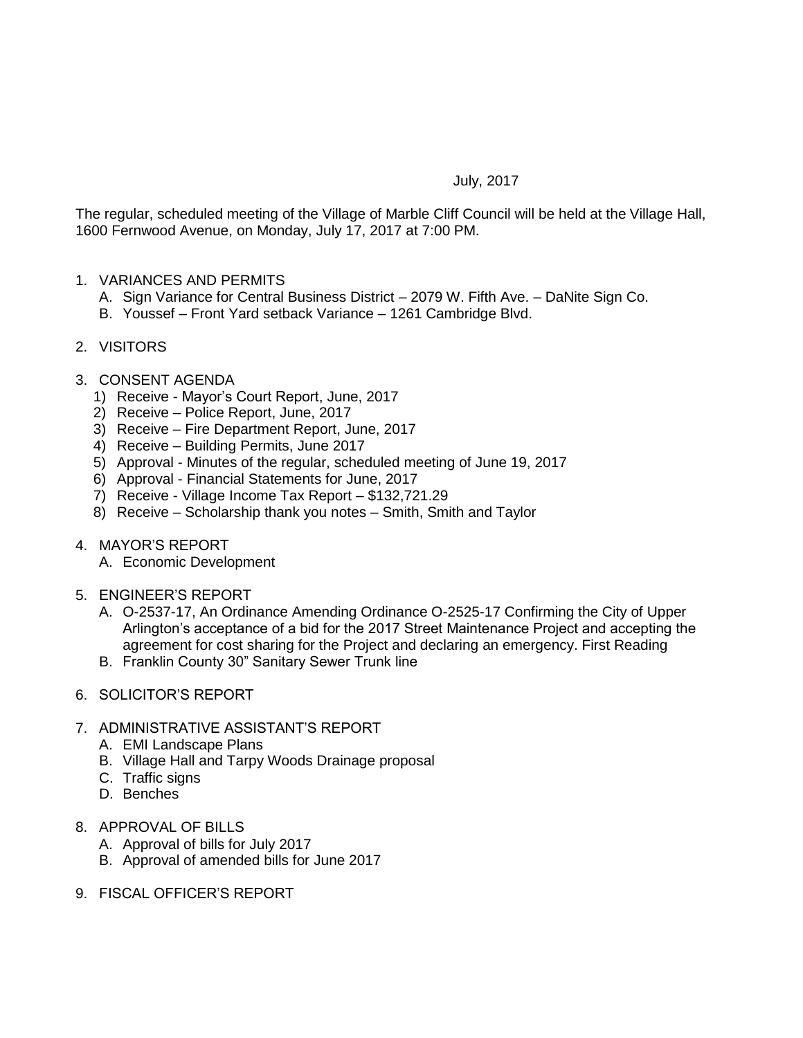## July, 2017

The regular, scheduled meeting of the Village of Marble Cliff Council will be held at the Village Hall, 1600 Fernwood Avenue, on Monday, July 17, 2017 at 7:00 PM.

- 1. VARIANCES AND PERMITS
	- A. Sign Variance for Central Business District 2079 W. Fifth Ave. DaNite Sign Co.
	- B. Youssef Front Yard setback Variance 1261 Cambridge Blvd.
- 2. VISITORS
- 3. CONSENT AGENDA
	- 1) Receive Mayor's Court Report, June, 2017
	- 2) Receive Police Report, June, 2017
	- 3) Receive Fire Department Report, June, 2017
	- 4) Receive Building Permits, June 2017
	- 5) Approval Minutes of the regular, scheduled meeting of June 19, 2017
	- 6) Approval Financial Statements for June, 2017
	- 7) Receive Village Income Tax Report \$132,721.29
	- 8) Receive Scholarship thank you notes Smith, Smith and Taylor
- 4. MAYOR'S REPORT
	- A. Economic Development
- 5. ENGINEER'S REPORT
	- A. O-2537-17, An Ordinance Amending Ordinance O-2525-17 Confirming the City of Upper Arlington's acceptance of a bid for the 2017 Street Maintenance Project and accepting the agreement for cost sharing for the Project and declaring an emergency. First Reading
	- B. Franklin County 30" Sanitary Sewer Trunk line
- 6. SOLICITOR'S REPORT
- 7. ADMINISTRATIVE ASSISTANT'S REPORT
	- A. EMI Landscape Plans
	- B. Village Hall and Tarpy Woods Drainage proposal
	- C. Traffic signs
	- D. Benches
- 8. APPROVAL OF BILLS
	- A. Approval of bills for July 2017
	- B. Approval of amended bills for June 2017
- 9. FISCAL OFFICER'S REPORT